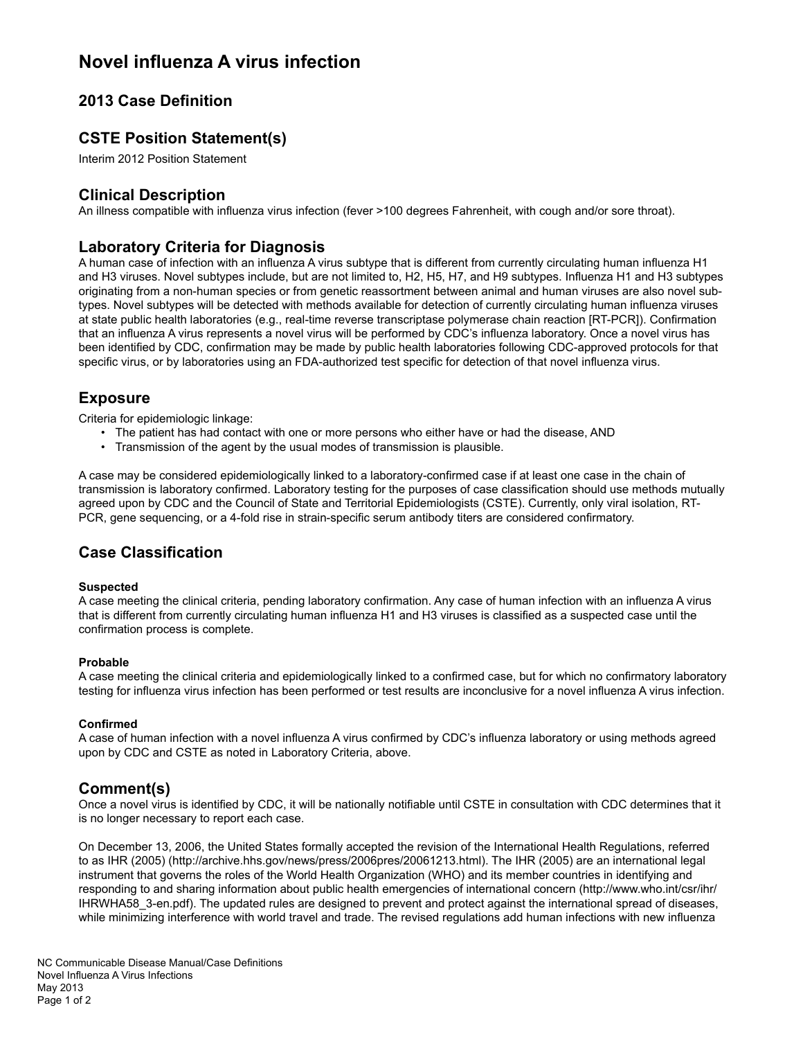# **Novel influenza A virus infection**

### **2013 Case Definition**

### **CSTE Position Statement(s)**

Interim 2012 Position Statement

#### **Clinical Description**

An illness compatible with influenza virus infection (fever >100 degrees Fahrenheit, with cough and/or sore throat).

#### **Laboratory Criteria for Diagnosis**

A human case of infection with an influenza A virus subtype that is different from currently circulating human influenza H1 and H3 viruses. Novel subtypes include, but are not limited to, H2, H5, H7, and H9 subtypes. Influenza H1 and H3 subtypes originating from a non-human species or from genetic reassortment between animal and human viruses are also novel subtypes. Novel subtypes will be detected with methods available for detection of currently circulating human influenza viruses at state public health laboratories (e.g., real-time reverse transcriptase polymerase chain reaction [RT-PCR]). Confirmation that an influenza A virus represents a novel virus will be performed by CDC's influenza laboratory. Once a novel virus has been identified by CDC, confirmation may be made by public health laboratories following CDC-approved protocols for that specific virus, or by laboratories using an FDA-authorized test specific for detection of that novel influenza virus.

#### **Exposure**

Criteria for epidemiologic linkage:

- The patient has had contact with one or more persons who either have or had the disease, AND
- Transmission of the agent by the usual modes of transmission is plausible.

A case may be considered epidemiologically linked to a laboratory-confirmed case if at least one case in the chain of transmission is laboratory confirmed. Laboratory testing for the purposes of case classification should use methods mutually agreed upon by CDC and the Council of State and Territorial Epidemiologists (CSTE). Currently, only viral isolation, RT-PCR, gene sequencing, or a 4-fold rise in strain-specific serum antibody titers are considered confirmatory.

### **Case Classification**

#### **Suspected**

A case meeting the clinical criteria, pending laboratory confirmation. Any case of human infection with an influenza A virus that is different from currently circulating human influenza H1 and H3 viruses is classified as a suspected case until the confirmation process is complete.

#### **Probable**

A case meeting the clinical criteria and epidemiologically linked to a confirmed case, but for which no confirmatory laboratory testing for influenza virus infection has been performed or test results are inconclusive for a novel influenza A virus infection.

#### **Confirmed**

A case of human infection with a novel influenza A virus confirmed by CDC's influenza laboratory or using methods agreed upon by CDC and CSTE as noted in Laboratory Criteria, above.

### **Comment(s)**

Once a novel virus is identified by CDC, it will be nationally notifiable until CSTE in consultation with CDC determines that it is no longer necessary to report each case.

On December 13, 2006, the United States formally accepted the revision of the International Health Regulations, referred to as IHR (2005) (http://archive.hhs.gov/news/press/2006pres/20061213.html). The IHR (2005) are an international legal instrument that governs the roles of the World Health Organization (WHO) and its member countries in identifying and responding to and sharing information about public health emergencies of international concern (http://www.who.int/csr/ihr/ IHRWHA58\_3-en.pdf). The updated rules are designed to prevent and protect against the international spread of diseases, while minimizing interference with world travel and trade. The revised regulations add human infections with new influenza